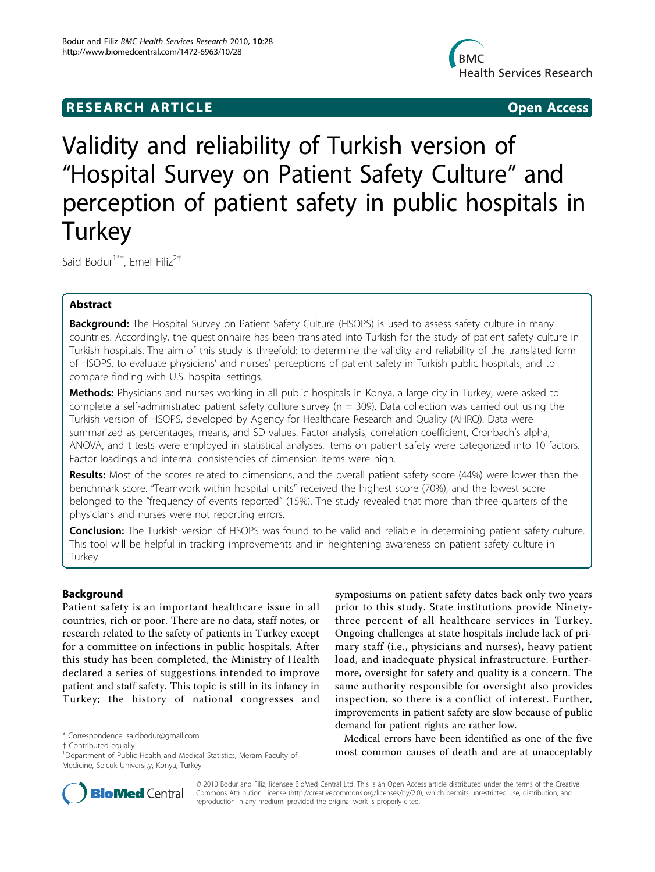# **RESEARCH ARTICLE Example 2018 12:00 Open Access**



Validity and reliability of Turkish version of "Hospital Survey on Patient Safety Culture" and perception of patient safety in public hospitals in **Turkey** 

Said Bodur<sup>1\*†</sup>, Emel Filiz<sup>2†</sup>

## Abstract

**Background:** The Hospital Survey on Patient Safety Culture (HSOPS) is used to assess safety culture in many countries. Accordingly, the questionnaire has been translated into Turkish for the study of patient safety culture in Turkish hospitals. The aim of this study is threefold: to determine the validity and reliability of the translated form of HSOPS, to evaluate physicians' and nurses' perceptions of patient safety in Turkish public hospitals, and to compare finding with U.S. hospital settings.

Methods: Physicians and nurses working in all public hospitals in Konya, a large city in Turkey, were asked to complete a self-administrated patient safety culture survey ( $n = 309$ ). Data collection was carried out using the Turkish version of HSOPS, developed by Agency for Healthcare Research and Quality (AHRQ). Data were summarized as percentages, means, and SD values. Factor analysis, correlation coefficient, Cronbach's alpha, ANOVA, and t tests were employed in statistical analyses. Items on patient safety were categorized into 10 factors. Factor loadings and internal consistencies of dimension items were high.

Results: Most of the scores related to dimensions, and the overall patient safety score (44%) were lower than the benchmark score. "Teamwork within hospital units" received the highest score (70%), and the lowest score belonged to the "frequency of events reported" (15%). The study revealed that more than three quarters of the physicians and nurses were not reporting errors.

Conclusion: The Turkish version of HSOPS was found to be valid and reliable in determining patient safety culture. This tool will be helpful in tracking improvements and in heightening awareness on patient safety culture in Turkey.

## Background

Patient safety is an important healthcare issue in all countries, rich or poor. There are no data, staff notes, or research related to the safety of patients in Turkey except for a committee on infections in public hospitals. After this study has been completed, the Ministry of Health declared a series of suggestions intended to improve patient and staff safety. This topic is still in its infancy in Turkey; the history of national congresses and

† Contributed equally <sup>1</sup>

symposiums on patient safety dates back only two years prior to this study. State institutions provide Ninetythree percent of all healthcare services in Turkey. Ongoing challenges at state hospitals include lack of primary staff (i.e., physicians and nurses), heavy patient load, and inadequate physical infrastructure. Furthermore, oversight for safety and quality is a concern. The same authority responsible for oversight also provides inspection, so there is a conflict of interest. Further, improvements in patient safety are slow because of public demand for patient rights are rather low.

Medical errors have been identified as one of the five most common causes of death and are at unacceptably



© 2010 Bodur and Filiz; licensee BioMed Central Ltd. This is an Open Access article distributed under the terms of the Creative Commons Attribution License [\(http://creativecommons.org/licenses/by/2.0](http://creativecommons.org/licenses/by/2.0)), which permits unrestricted use, distribution, and reproduction in any medium, provided the original work is properly cited.

<sup>\*</sup> Correspondence: [saidbodur@gmail.com](mailto:saidbodur@gmail.com)

<sup>&</sup>lt;sup>1</sup>Department of Public Health and Medical Statistics, Meram Faculty of Medicine, Selcuk University, Konya, Turkey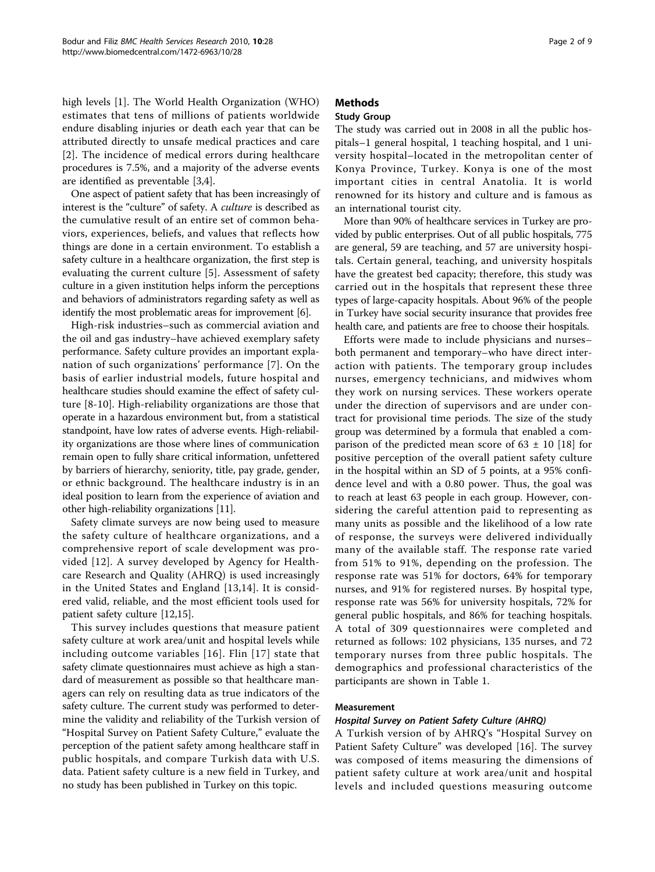high levels [\[1](#page-8-0)]. The World Health Organization (WHO) estimates that tens of millions of patients worldwide endure disabling injuries or death each year that can be attributed directly to unsafe medical practices and care [[2](#page-8-0)]. The incidence of medical errors during healthcare procedures is 7.5%, and a majority of the adverse events are identified as preventable [[3](#page-8-0),[4](#page-8-0)].

One aspect of patient safety that has been increasingly of interest is the "culture" of safety. A culture is described as the cumulative result of an entire set of common behaviors, experiences, beliefs, and values that reflects how things are done in a certain environment. To establish a safety culture in a healthcare organization, the first step is evaluating the current culture [[5\]](#page-8-0). Assessment of safety culture in a given institution helps inform the perceptions and behaviors of administrators regarding safety as well as identify the most problematic areas for improvement [\[6\]](#page-8-0).

High-risk industries–such as commercial aviation and the oil and gas industry–have achieved exemplary safety performance. Safety culture provides an important explanation of such organizations' performance [\[7](#page-8-0)]. On the basis of earlier industrial models, future hospital and healthcare studies should examine the effect of safety culture [[8-10\]](#page-8-0). High-reliability organizations are those that operate in a hazardous environment but, from a statistical standpoint, have low rates of adverse events. High-reliability organizations are those where lines of communication remain open to fully share critical information, unfettered by barriers of hierarchy, seniority, title, pay grade, gender, or ethnic background. The healthcare industry is in an ideal position to learn from the experience of aviation and other high-reliability organizations [[11](#page-8-0)].

Safety climate surveys are now being used to measure the safety culture of healthcare organizations, and a comprehensive report of scale development was provided [[12\]](#page-8-0). A survey developed by Agency for Healthcare Research and Quality (AHRQ) is used increasingly in the United States and England [[13,14\]](#page-8-0). It is considered valid, reliable, and the most efficient tools used for patient safety culture [\[12,15\]](#page-8-0).

This survey includes questions that measure patient safety culture at work area/unit and hospital levels while including outcome variables [[16\]](#page-8-0). Flin [[17\]](#page-8-0) state that safety climate questionnaires must achieve as high a standard of measurement as possible so that healthcare managers can rely on resulting data as true indicators of the safety culture. The current study was performed to determine the validity and reliability of the Turkish version of "Hospital Survey on Patient Safety Culture," evaluate the perception of the patient safety among healthcare staff in public hospitals, and compare Turkish data with U.S. data. Patient safety culture is a new field in Turkey, and no study has been published in Turkey on this topic.

## Methods

## Study Group

The study was carried out in 2008 in all the public hospitals–1 general hospital, 1 teaching hospital, and 1 university hospital–located in the metropolitan center of Konya Province, Turkey. Konya is one of the most important cities in central Anatolia. It is world renowned for its history and culture and is famous as an international tourist city.

More than 90% of healthcare services in Turkey are provided by public enterprises. Out of all public hospitals, 775 are general, 59 are teaching, and 57 are university hospitals. Certain general, teaching, and university hospitals have the greatest bed capacity; therefore, this study was carried out in the hospitals that represent these three types of large-capacity hospitals. About 96% of the people in Turkey have social security insurance that provides free health care, and patients are free to choose their hospitals.

Efforts were made to include physicians and nurses– both permanent and temporary–who have direct interaction with patients. The temporary group includes nurses, emergency technicians, and midwives whom they work on nursing services. These workers operate under the direction of supervisors and are under contract for provisional time periods. The size of the study group was determined by a formula that enabled a comparison of the predicted mean score of  $63 \pm 10$  [\[18](#page-8-0)] for positive perception of the overall patient safety culture in the hospital within an SD of 5 points, at a 95% confidence level and with a 0.80 power. Thus, the goal was to reach at least 63 people in each group. However, considering the careful attention paid to representing as many units as possible and the likelihood of a low rate of response, the surveys were delivered individually many of the available staff. The response rate varied from 51% to 91%, depending on the profession. The response rate was 51% for doctors, 64% for temporary nurses, and 91% for registered nurses. By hospital type, response rate was 56% for university hospitals, 72% for general public hospitals, and 86% for teaching hospitals. A total of 309 questionnaires were completed and returned as follows: 102 physicians, 135 nurses, and 72 temporary nurses from three public hospitals. The demographics and professional characteristics of the participants are shown in Table [1](#page-2-0).

## Measurement

## Hospital Survey on Patient Safety Culture (AHRQ)

A Turkish version of by AHRQ's "Hospital Survey on Patient Safety Culture" was developed [[16\]](#page-8-0). The survey was composed of items measuring the dimensions of patient safety culture at work area/unit and hospital levels and included questions measuring outcome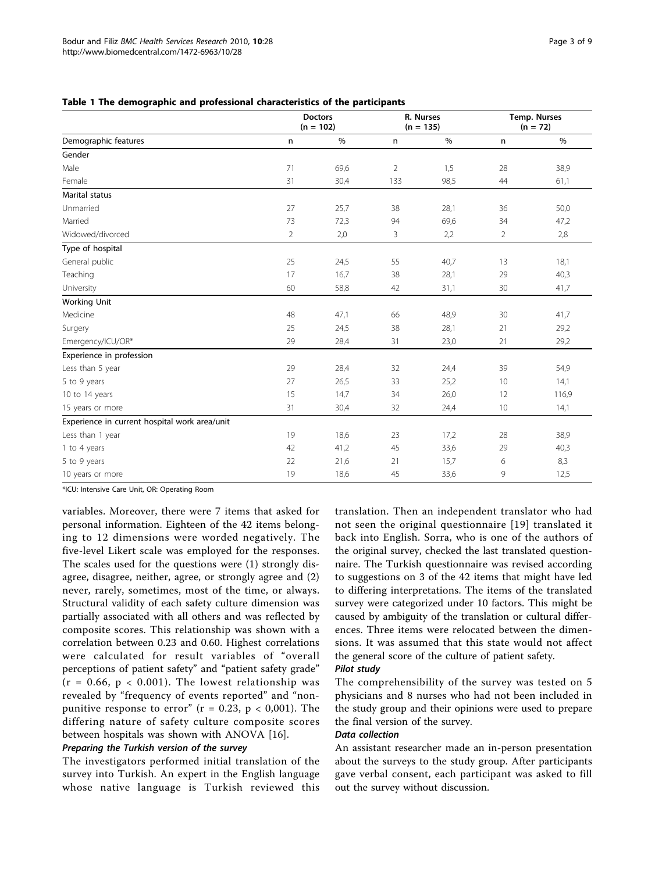<span id="page-2-0"></span>

|  |  |  |  |  |  | Table 1 The demographic and professional characteristics of the participants |  |  |  |
|--|--|--|--|--|--|------------------------------------------------------------------------------|--|--|--|
|--|--|--|--|--|--|------------------------------------------------------------------------------|--|--|--|

|                                               |                | <b>Doctors</b><br>$(n = 102)$ |                | R. Nurses<br>$(n = 135)$ | Temp. Nurses<br>$(n = 72)$ |       |  |
|-----------------------------------------------|----------------|-------------------------------|----------------|--------------------------|----------------------------|-------|--|
| Demographic features                          | $\mathsf{n}$   | $\%$                          | n              | $\%$                     | n                          | $\%$  |  |
| Gender                                        |                |                               |                |                          |                            |       |  |
| Male                                          | 71             | 69,6                          | $\overline{2}$ | 1,5                      | 28                         | 38,9  |  |
| Female                                        | 31             | 30,4                          | 133            | 98,5                     | 44                         | 61,1  |  |
| <b>Marital status</b>                         |                |                               |                |                          |                            |       |  |
| Unmarried                                     | 27             | 25,7                          | 38             | 28,1                     | 36                         | 50,0  |  |
| Married                                       | 73             | 72,3                          | 94             | 69,6                     | 34                         | 47,2  |  |
| Widowed/divorced                              | $\overline{2}$ | 2,0                           | 3              | 2,2                      | 2                          | 2,8   |  |
| Type of hospital                              |                |                               |                |                          |                            |       |  |
| General public                                | 25             | 24,5                          | 55             | 40,7                     | 13                         | 18,1  |  |
| Teaching                                      | 17             | 16,7                          | 38             | 28,1                     | 29                         | 40,3  |  |
| University                                    | 60             | 58,8                          | 42             | 31,1                     | 30                         | 41,7  |  |
| <b>Working Unit</b>                           |                |                               |                |                          |                            |       |  |
| Medicine                                      | 48             | 47,1                          | 66             | 48,9                     | 30                         | 41,7  |  |
| Surgery                                       | 25             | 24,5                          | 38             | 28,1                     | 21                         | 29,2  |  |
| Emergency/ICU/OR*                             | 29             | 28,4                          | 31             | 23,0                     | 21                         | 29,2  |  |
| Experience in profession                      |                |                               |                |                          |                            |       |  |
| Less than 5 year                              | 29             | 28,4                          | 32             | 24,4                     | 39                         | 54,9  |  |
| 5 to 9 years                                  | 27             | 26,5                          | 33             | 25,2                     | 10                         | 14,1  |  |
| 10 to 14 years                                | 15             | 14,7                          | 34             | 26,0                     | 12                         | 116,9 |  |
| 15 years or more                              | 31             | 30,4                          | 32             | 24,4                     | 10                         | 14,1  |  |
| Experience in current hospital work area/unit |                |                               |                |                          |                            |       |  |
| Less than 1 year                              | 19             | 18,6                          | 23             | 17,2                     | 28                         | 38,9  |  |
| 1 to 4 years                                  | 42             | 41,2                          | 45             | 33,6                     | 29                         | 40,3  |  |
| 5 to 9 years                                  | 22             | 21,6                          | 21             | 15,7                     | 6                          | 8,3   |  |
| 10 years or more                              | 19             | 18,6                          | 45             | 33,6                     | 9                          | 12,5  |  |

\*ICU: Intensive Care Unit, OR: Operating Room

variables. Moreover, there were 7 items that asked for personal information. Eighteen of the 42 items belonging to 12 dimensions were worded negatively. The five-level Likert scale was employed for the responses. The scales used for the questions were (1) strongly disagree, disagree, neither, agree, or strongly agree and (2) never, rarely, sometimes, most of the time, or always. Structural validity of each safety culture dimension was partially associated with all others and was reflected by composite scores. This relationship was shown with a correlation between 0.23 and 0.60. Highest correlations were calculated for result variables of "overall perceptions of patient safety" and "patient safety grade"  $(r = 0.66, p < 0.001)$ . The lowest relationship was revealed by "frequency of events reported" and "nonpunitive response to error" ( $r = 0.23$ ,  $p < 0.001$ ). The differing nature of safety culture composite scores between hospitals was shown with ANOVA [[16\]](#page-8-0).

## Preparing the Turkish version of the survey

The investigators performed initial translation of the survey into Turkish. An expert in the English language whose native language is Turkish reviewed this translation. Then an independent translator who had not seen the original questionnaire [[19](#page-8-0)] translated it back into English. Sorra, who is one of the authors of the original survey, checked the last translated questionnaire. The Turkish questionnaire was revised according to suggestions on 3 of the 42 items that might have led to differing interpretations. The items of the translated survey were categorized under 10 factors. This might be caused by ambiguity of the translation or cultural differences. Three items were relocated between the dimensions. It was assumed that this state would not affect the general score of the culture of patient safety.

#### Pilot study

The comprehensibility of the survey was tested on 5 physicians and 8 nurses who had not been included in the study group and their opinions were used to prepare the final version of the survey.

## Data collection

An assistant researcher made an in-person presentation about the surveys to the study group. After participants gave verbal consent, each participant was asked to fill out the survey without discussion.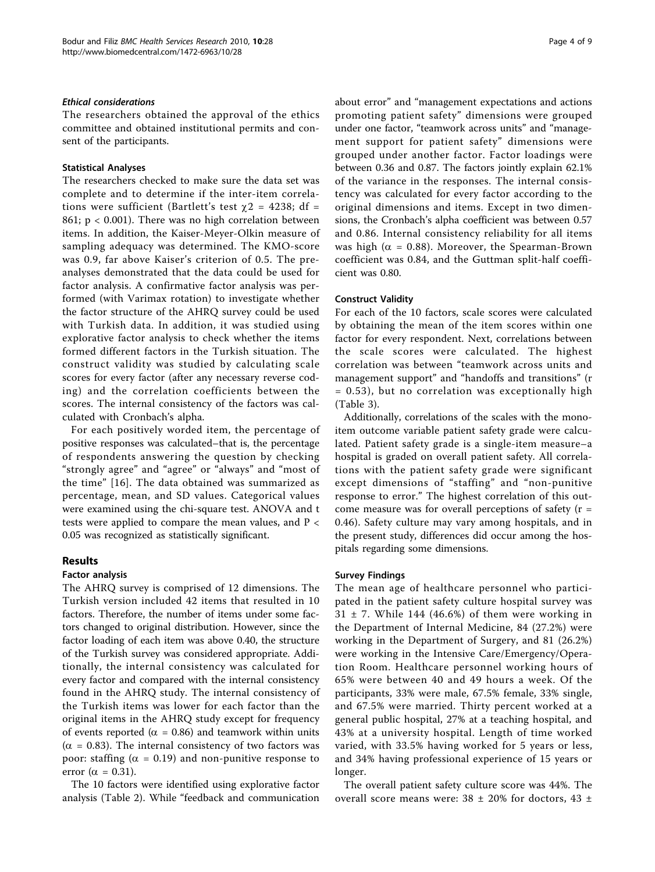### Ethical considerations

The researchers obtained the approval of the ethics committee and obtained institutional permits and consent of the participants.

### Statistical Analyses

The researchers checked to make sure the data set was complete and to determine if the inter-item correlations were sufficient (Bartlett's test  $\gamma$ 2 = 4238; df = 861;  $p < 0.001$ ). There was no high correlation between items. In addition, the Kaiser-Meyer-Olkin measure of sampling adequacy was determined. The KMO-score was 0.9, far above Kaiser's criterion of 0.5. The preanalyses demonstrated that the data could be used for factor analysis. A confirmative factor analysis was performed (with Varimax rotation) to investigate whether the factor structure of the AHRQ survey could be used with Turkish data. In addition, it was studied using explorative factor analysis to check whether the items formed different factors in the Turkish situation. The construct validity was studied by calculating scale scores for every factor (after any necessary reverse coding) and the correlation coefficients between the scores. The internal consistency of the factors was calculated with Cronbach's alpha.

For each positively worded item, the percentage of positive responses was calculated–that is, the percentage of respondents answering the question by checking "strongly agree" and "agree" or "always" and "most of the time" [[16](#page-8-0)]. The data obtained was summarized as percentage, mean, and SD values. Categorical values were examined using the chi-square test. ANOVA and t tests were applied to compare the mean values, and P < 0.05 was recognized as statistically significant.

## Results

#### Factor analysis

The AHRQ survey is comprised of 12 dimensions. The Turkish version included 42 items that resulted in 10 factors. Therefore, the number of items under some factors changed to original distribution. However, since the factor loading of each item was above 0.40, the structure of the Turkish survey was considered appropriate. Additionally, the internal consistency was calculated for every factor and compared with the internal consistency found in the AHRQ study. The internal consistency of the Turkish items was lower for each factor than the original items in the AHRQ study except for frequency of events reported ( $\alpha$  = 0.86) and teamwork within units  $(\alpha = 0.83)$ . The internal consistency of two factors was poor: staffing ( $\alpha$  = 0.19) and non-punitive response to error ( $\alpha = 0.31$ ).

The 10 factors were identified using explorative factor analysis (Table [2\)](#page-4-0). While "feedback and communication about error" and "management expectations and actions promoting patient safety" dimensions were grouped under one factor, "teamwork across units" and "management support for patient safety" dimensions were grouped under another factor. Factor loadings were between 0.36 and 0.87. The factors jointly explain 62.1% of the variance in the responses. The internal consistency was calculated for every factor according to the original dimensions and items. Except in two dimensions, the Cronbach's alpha coefficient was between 0.57 and 0.86. Internal consistency reliability for all items was high ( $\alpha$  = 0.88). Moreover, the Spearman-Brown coefficient was 0.84, and the Guttman split-half coefficient was 0.80.

#### Construct Validity

For each of the 10 factors, scale scores were calculated by obtaining the mean of the item scores within one factor for every respondent. Next, correlations between the scale scores were calculated. The highest correlation was between "teamwork across units and management support" and "handoffs and transitions" (r = 0.53), but no correlation was exceptionally high (Table [3\)](#page-5-0).

Additionally, correlations of the scales with the monoitem outcome variable patient safety grade were calculated. Patient safety grade is a single-item measure–a hospital is graded on overall patient safety. All correlations with the patient safety grade were significant except dimensions of "staffing" and "non-punitive response to error." The highest correlation of this outcome measure was for overall perceptions of safety  $(r =$ 0.46). Safety culture may vary among hospitals, and in the present study, differences did occur among the hospitals regarding some dimensions.

#### Survey Findings

The mean age of healthcare personnel who participated in the patient safety culture hospital survey was  $31 \pm 7$ . While 144 (46.6%) of them were working in the Department of Internal Medicine, 84 (27.2%) were working in the Department of Surgery, and 81 (26.2%) were working in the Intensive Care/Emergency/Operation Room. Healthcare personnel working hours of 65% were between 40 and 49 hours a week. Of the participants, 33% were male, 67.5% female, 33% single, and 67.5% were married. Thirty percent worked at a general public hospital, 27% at a teaching hospital, and 43% at a university hospital. Length of time worked varied, with 33.5% having worked for 5 years or less, and 34% having professional experience of 15 years or longer.

The overall patient safety culture score was 44%. The overall score means were:  $38 \pm 20\%$  for doctors,  $43 \pm 20\%$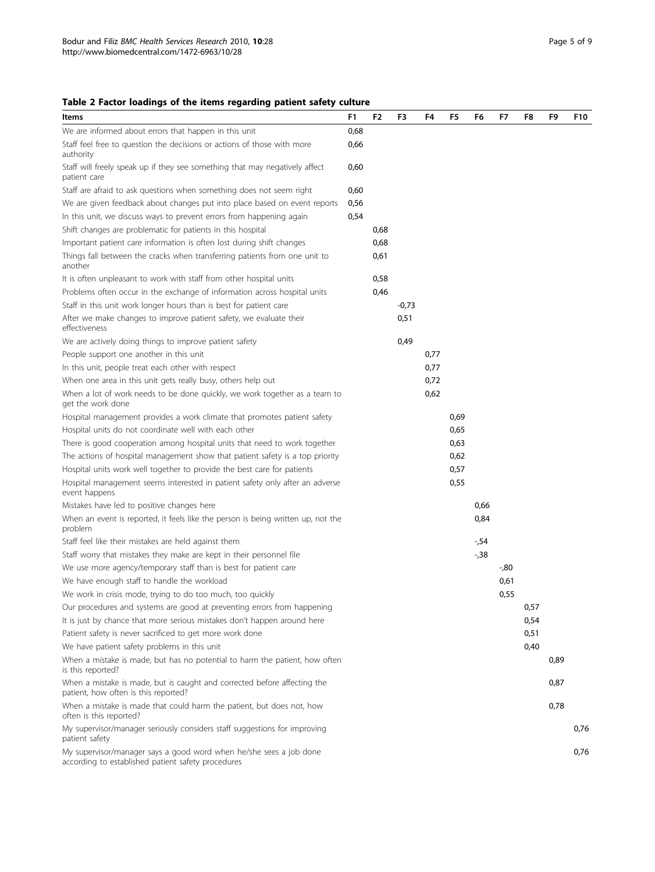<span id="page-4-0"></span>

| Items                                                                                                                    | F <sub>1</sub> | F <sub>2</sub> | F3      | F4   | F5   | F6   | F7   | F8   | F9   | F10  |
|--------------------------------------------------------------------------------------------------------------------------|----------------|----------------|---------|------|------|------|------|------|------|------|
| We are informed about errors that happen in this unit                                                                    | 0,68           |                |         |      |      |      |      |      |      |      |
| Staff feel free to question the decisions or actions of those with more<br>authority                                     | 0,66           |                |         |      |      |      |      |      |      |      |
| Staff will freely speak up if they see something that may negatively affect<br>patient care                              | 0,60           |                |         |      |      |      |      |      |      |      |
| Staff are afraid to ask questions when something does not seem right                                                     | 0,60           |                |         |      |      |      |      |      |      |      |
| We are given feedback about changes put into place based on event reports                                                | 0,56           |                |         |      |      |      |      |      |      |      |
| In this unit, we discuss ways to prevent errors from happening again                                                     | 0,54           |                |         |      |      |      |      |      |      |      |
| Shift changes are problematic for patients in this hospital                                                              |                | 0,68           |         |      |      |      |      |      |      |      |
| Important patient care information is often lost during shift changes                                                    |                | 0,68           |         |      |      |      |      |      |      |      |
| Things fall between the cracks when transferring patients from one unit to<br>another                                    |                | 0,61           |         |      |      |      |      |      |      |      |
| It is often unpleasant to work with staff from other hospital units                                                      |                | 0,58           |         |      |      |      |      |      |      |      |
| Problems often occur in the exchange of information across hospital units                                                |                | 0,46           |         |      |      |      |      |      |      |      |
| Staff in this unit work longer hours than is best for patient care                                                       |                |                | $-0,73$ |      |      |      |      |      |      |      |
| After we make changes to improve patient safety, we evaluate their<br>effectiveness                                      |                |                | 0,51    |      |      |      |      |      |      |      |
| We are actively doing things to improve patient safety                                                                   |                |                | 0,49    |      |      |      |      |      |      |      |
| People support one another in this unit                                                                                  |                |                |         | 0,77 |      |      |      |      |      |      |
| In this unit, people treat each other with respect                                                                       |                |                |         | 0,77 |      |      |      |      |      |      |
| When one area in this unit gets really busy, others help out                                                             |                |                |         | 0,72 |      |      |      |      |      |      |
| When a lot of work needs to be done quickly, we work together as a team to<br>get the work done                          |                |                |         | 0,62 |      |      |      |      |      |      |
| Hospital management provides a work climate that promotes patient safety                                                 |                |                |         |      | 0,69 |      |      |      |      |      |
| Hospital units do not coordinate well with each other                                                                    |                |                |         |      | 0,65 |      |      |      |      |      |
| There is good cooperation among hospital units that need to work together                                                |                |                |         |      | 0,63 |      |      |      |      |      |
| The actions of hospital management show that patient safety is a top priority                                            |                |                |         |      | 0,62 |      |      |      |      |      |
| Hospital units work well together to provide the best care for patients                                                  |                |                |         |      | 0,57 |      |      |      |      |      |
| Hospital management seems interested in patient safety only after an adverse<br>event happens                            |                |                |         |      | 0,55 |      |      |      |      |      |
| Mistakes have led to positive changes here                                                                               |                |                |         |      |      | 0,66 |      |      |      |      |
| When an event is reported, it feels like the person is being written up, not the<br>problem                              |                |                |         |      |      | 0,84 |      |      |      |      |
| Staff feel like their mistakes are held against them                                                                     |                |                |         |      |      | -,54 |      |      |      |      |
| Staff worry that mistakes they make are kept in their personnel file                                                     |                |                |         |      |      | -,38 |      |      |      |      |
| We use more agency/temporary staff than is best for patient care                                                         |                |                |         |      |      |      | -,80 |      |      |      |
| We have enough staff to handle the workload                                                                              |                |                |         |      |      |      | 0,61 |      |      |      |
| We work in crisis mode, trying to do too much, too quickly                                                               |                |                |         |      |      |      | 0,55 |      |      |      |
| Our procedures and systems are good at preventing errors from happening                                                  |                |                |         |      |      |      |      | 0,57 |      |      |
| It is just by chance that more serious mistakes don't happen around here                                                 |                |                |         |      |      |      |      | 0,54 |      |      |
| Patient safety is never sacrificed to get more work done                                                                 |                |                |         |      |      |      |      | 0,51 |      |      |
| We have patient safety problems in this unit                                                                             |                |                |         |      |      |      |      | 0,40 |      |      |
| When a mistake is made, but has no potential to harm the patient, how often<br>is this reported?                         |                |                |         |      |      |      |      |      | 0,89 |      |
| When a mistake is made, but is caught and corrected before affecting the<br>patient, how often is this reported?         |                |                |         |      |      |      |      |      | 0,87 |      |
| When a mistake is made that could harm the patient, but does not, how<br>often is this reported?                         |                |                |         |      |      |      |      |      | 0,78 |      |
| My supervisor/manager seriously considers staff suggestions for improving<br>patient safety                              |                |                |         |      |      |      |      |      |      | 0,76 |
| My supervisor/manager says a good word when he/she sees a job done<br>according to established patient safety procedures |                |                |         |      |      |      |      |      |      | 0,76 |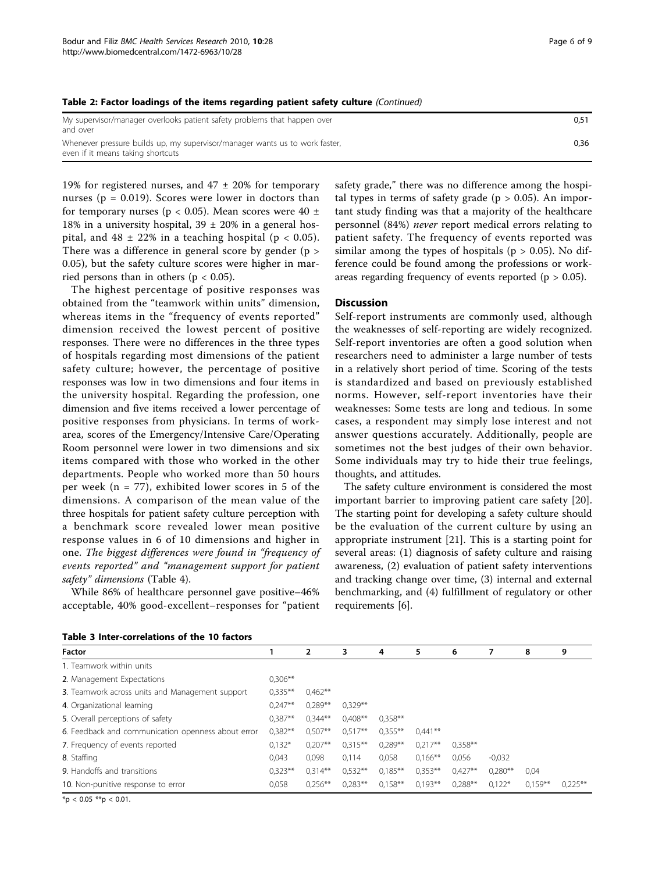#### <span id="page-5-0"></span>Table 2: Factor loadings of the items regarding patient safety culture (Continued)

| My supervisor/manager overlooks patient safety problems that happen over<br>and over                             | 0.51 |
|------------------------------------------------------------------------------------------------------------------|------|
| Whenever pressure builds up, my supervisor/manager wants us to work faster,<br>even if it means taking shortcuts | 0.36 |

19% for registered nurses, and  $47 \pm 20\%$  for temporary nurses ( $p = 0.019$ ). Scores were lower in doctors than for temporary nurses ( $p < 0.05$ ). Mean scores were 40  $\pm$ 18% in a university hospital,  $39 \pm 20$ % in a general hospital, and  $48 \pm 22\%$  in a teaching hospital ( $p < 0.05$ ). There was a difference in general score by gender (p > 0.05), but the safety culture scores were higher in married persons than in others ( $p < 0.05$ ).

The highest percentage of positive responses was obtained from the "teamwork within units" dimension, whereas items in the "frequency of events reported" dimension received the lowest percent of positive responses. There were no differences in the three types of hospitals regarding most dimensions of the patient safety culture; however, the percentage of positive responses was low in two dimensions and four items in the university hospital. Regarding the profession, one dimension and five items received a lower percentage of positive responses from physicians. In terms of workarea, scores of the Emergency/Intensive Care/Operating Room personnel were lower in two dimensions and six items compared with those who worked in the other departments. People who worked more than 50 hours per week ( $n = 77$ ), exhibited lower scores in 5 of the dimensions. A comparison of the mean value of the three hospitals for patient safety culture perception with a benchmark score revealed lower mean positive response values in 6 of 10 dimensions and higher in one. The biggest differences were found in "frequency of events reported" and "management support for patient safety" dimensions (Table [4](#page-6-0)).

While 86% of healthcare personnel gave positive–46% acceptable, 40% good-excellent–responses for "patient tal types in terms of safety grade ( $p > 0.05$ ). An important study finding was that a majority of the healthcare personnel (84%) never report medical errors relating to patient safety. The frequency of events reported was similar among the types of hospitals ( $p > 0.05$ ). No difference could be found among the professions or workareas regarding frequency of events reported ( $p > 0.05$ ).

safety grade," there was no difference among the hospi-

## **Discussion**

Self-report instruments are commonly used, although the weaknesses of self-reporting are widely recognized. Self-report inventories are often a good solution when researchers need to administer a large number of tests in a relatively short period of time. Scoring of the tests is standardized and based on previously established norms. However, self-report inventories have their weaknesses: Some tests are long and tedious. In some cases, a respondent may simply lose interest and not answer questions accurately. Additionally, people are sometimes not the best judges of their own behavior. Some individuals may try to hide their true feelings, thoughts, and attitudes.

The safety culture environment is considered the most important barrier to improving patient care safety [\[20](#page-8-0)]. The starting point for developing a safety culture should be the evaluation of the current culture by using an appropriate instrument [\[21](#page-8-0)]. This is a starting point for several areas: (1) diagnosis of safety culture and raising awareness, (2) evaluation of patient safety interventions and tracking change over time, (3) internal and external benchmarking, and (4) fulfillment of regulatory or other requirements [\[6\]](#page-8-0).

| <b>Factor</b>                                      |            | $\overline{2}$ | 3          | 4          | 5         | 6         |           | 8         | 9          |
|----------------------------------------------------|------------|----------------|------------|------------|-----------|-----------|-----------|-----------|------------|
| 1. Teamwork within units                           |            |                |            |            |           |           |           |           |            |
| 2. Management Expectations                         | $0,306***$ |                |            |            |           |           |           |           |            |
| 3. Teamwork across units and Management support    | $0.335***$ | $0.462**$      |            |            |           |           |           |           |            |
| 4. Organizational learning                         | $0.247**$  | $0.289**$      | $0.329**$  |            |           |           |           |           |            |
| 5. Overall perceptions of safety                   | $0.387**$  | $0.344**$      | $0.408**$  | $0.358**$  |           |           |           |           |            |
| 6. Feedback and communication openness about error | $0.382**$  | $0.507**$      | $0.517**$  | $0.355***$ | $0.441**$ |           |           |           |            |
| 7. Frequency of events reported                    | $0,132*$   | $0.207**$      | $0.315***$ | $0.289**$  | $0,217**$ | $0.358**$ |           |           |            |
| 8. Staffing                                        | 0.043      | 0,098          | 0.114      | 0,058      | $0.166**$ | 0,056     | $-0.032$  |           |            |
| 9. Handoffs and transitions                        |            | $0.314**$      | $0.532**$  | $0.185***$ | $0.353**$ | $0.427**$ | $0.280**$ | 0,04      |            |
| 10. Non-punitive response to error                 |            | $0.256**$      | $0.283**$  | $0.158***$ | $0.193**$ | $0.288**$ | $0.122*$  | $0.159**$ | $0,225***$ |

### Table 3 Inter-correlations of the 10 factors

 $*$ p < 0.05 \*\*p < 0.01.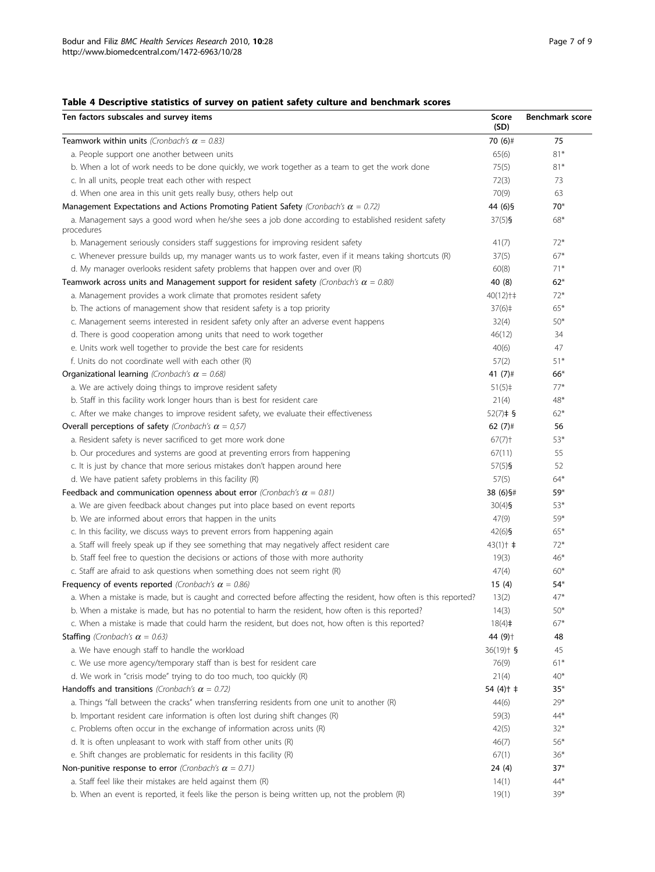## <span id="page-6-0"></span>Table 4 Descriptive statistics of survey on patient safety culture and benchmark scores

| Teamwork within units (Cronbach's $\alpha$ = 0.83)<br>70 (6)#<br>75<br>$81*$<br>a. People support one another between units<br>65(6)<br>$81*$<br>b. When a lot of work needs to be done quickly, we work together as a team to get the work done<br>75(5)<br>c. In all units, people treat each other with respect<br>72(3)<br>73<br>d. When one area in this unit gets really busy, others help out<br>70(9)<br>63<br>44 (6) §<br>Management Expectations and Actions Promoting Patient Safety (Cronbach's $\alpha = 0.72$ )<br>$70*$<br>a. Management says a good word when he/she sees a job done according to established resident safety<br>$37(5)$ §<br>68*<br>procedures<br>b. Management seriously considers staff suggestions for improving resident safety<br>41(7)<br>$72*$<br>$67*$<br>c. Whenever pressure builds up, my manager wants us to work faster, even if it means taking shortcuts (R)<br>37(5)<br>$71*$<br>d. My manager overlooks resident safety problems that happen over and over (R)<br>60(8)<br>40 (8)<br>$62*$<br>a. Management provides a work climate that promotes resident safety<br>$40(12)$ † ‡<br>$72*$<br>$65*$<br>b. The actions of management show that resident safety is a top priority<br>$37(6)$ ‡<br>c. Management seems interested in resident safety only after an adverse event happens<br>32(4)<br>$50*$<br>d. There is good cooperation among units that need to work together<br>46(12)<br>34<br>e. Units work well together to provide the best care for residents<br>40(6)<br>47<br>f. Units do not coordinate well with each other (R)<br>57(2)<br>$51*$<br>Organizational learning (Cronbach's $\alpha = 0.68$ )<br>41 $(7)$ #<br>$66*$<br>a. We are actively doing things to improve resident safety<br>$77*$<br>$51(5)$ ‡<br>b. Staff in this facility work longer hours than is best for resident care<br>21(4)<br>48*<br>c. After we make changes to improve resident safety, we evaluate their effectiveness<br>$52(7)$ ‡ §<br>$62*$<br>Overall perceptions of safety (Cronbach's $\alpha = 0.57$ )<br>62 $(7)$ #<br>56<br>a. Resident safety is never sacrificed to get more work done<br>$67(7)$ <sup>+</sup><br>$53*$<br>67(11)<br>55<br>b. Our procedures and systems are good at preventing errors from happening<br>c. It is just by chance that more serious mistakes don't happen around here<br>52<br>$57(5)$ §<br>d. We have patient safety problems in this facility (R)<br>57(5)<br>$64*$<br>Feedback and communication openness about error (Cronbach's $\alpha = 0.81$ )<br>38 (6) §#<br>$59*$<br>a. We are given feedback about changes put into place based on event reports<br>$30(4)$ §<br>53*<br>b. We are informed about errors that happen in the units<br>47(9)<br>59*<br>$42(6)$ §<br>c. In this facility, we discuss ways to prevent errors from happening again<br>$65*$<br>a. Staff will freely speak up if they see something that may negatively affect resident care<br>$43(1)$ $\uparrow$ $\uparrow$<br>$72*$<br>b. Staff feel free to question the decisions or actions of those with more authority<br>19(3)<br>$46*$<br>c. Staff are afraid to ask questions when something does not seem right (R)<br>47(4)<br>$60*$<br>Frequency of events reported (Cronbach's $\alpha = 0.86$ )<br>15(4)<br>$54*$<br>$47*$<br>a. When a mistake is made, but is caught and corrected before affecting the resident, how often is this reported?<br>13(2)<br>b. When a mistake is made, but has no potential to harm the resident, how often is this reported?<br>14(3)<br>$50*$<br>c. When a mistake is made that could harm the resident, but does not, how often is this reported?<br>18(4)<br>$67*$<br><b>Staffing</b> (Cronbach's $\alpha = 0.63$ )<br>44 (9) <sup>+</sup><br>48<br>a. We have enough staff to handle the workload<br>$36(19)$ $\uparrow$ §<br>45<br>c. We use more agency/temporary staff than is best for resident care<br>76(9)<br>$61*$<br>d. We work in "crisis mode" trying to do too much, too quickly (R)<br>21(4)<br>$40*$<br>Handoffs and transitions (Cronbach's $\alpha$ = 0.72)<br>54 (4) † ‡<br>$35*$<br>a. Things "fall between the cracks" when transferring residents from one unit to another (R)<br>44(6)<br>$29*$<br>b. Important resident care information is often lost during shift changes (R)<br>59(3)<br>$44*$<br>c. Problems often occur in the exchange of information across units (R)<br>42(5)<br>$32*$<br>d. It is often unpleasant to work with staff from other units (R)<br>46(7)<br>$56*$<br>e. Shift changes are problematic for residents in this facility (R)<br>67(1)<br>$36*$<br>Non-punitive response to error (Cronbach's $\alpha$ = 0.71)<br>24(4)<br>$37*$<br>a. Staff feel like their mistakes are held against them (R)<br>14(1)<br>44* | Ten factors subscales and survey items                                                          | Score<br>(SD) | <b>Benchmark score</b> |
|--------------------------------------------------------------------------------------------------------------------------------------------------------------------------------------------------------------------------------------------------------------------------------------------------------------------------------------------------------------------------------------------------------------------------------------------------------------------------------------------------------------------------------------------------------------------------------------------------------------------------------------------------------------------------------------------------------------------------------------------------------------------------------------------------------------------------------------------------------------------------------------------------------------------------------------------------------------------------------------------------------------------------------------------------------------------------------------------------------------------------------------------------------------------------------------------------------------------------------------------------------------------------------------------------------------------------------------------------------------------------------------------------------------------------------------------------------------------------------------------------------------------------------------------------------------------------------------------------------------------------------------------------------------------------------------------------------------------------------------------------------------------------------------------------------------------------------------------------------------------------------------------------------------------------------------------------------------------------------------------------------------------------------------------------------------------------------------------------------------------------------------------------------------------------------------------------------------------------------------------------------------------------------------------------------------------------------------------------------------------------------------------------------------------------------------------------------------------------------------------------------------------------------------------------------------------------------------------------------------------------------------------------------------------------------------------------------------------------------------------------------------------------------------------------------------------------------------------------------------------------------------------------------------------------------------------------------------------------------------------------------------------------------------------------------------------------------------------------------------------------------------------------------------------------------------------------------------------------------------------------------------------------------------------------------------------------------------------------------------------------------------------------------------------------------------------------------------------------------------------------------------------------------------------------------------------------------------------------------------------------------------------------------------------------------------------------------------------------------------------------------------------------------------------------------------------------------------------------------------------------------------------------------------------------------------------------------------------------------------------------------------------------------------------------------------------------------------------------------------------------------------------------------------------------------------------------------------------------------------------------------------------------------------------------------------------------------------------------------------------------------------------------------------------------------------------------------------------------------------------------------------------------------------------------------------------------------------------------------------------------------------------------------------------------------------------------------------------------------------------------------------------------------------------|-------------------------------------------------------------------------------------------------|---------------|------------------------|
|                                                                                                                                                                                                                                                                                                                                                                                                                                                                                                                                                                                                                                                                                                                                                                                                                                                                                                                                                                                                                                                                                                                                                                                                                                                                                                                                                                                                                                                                                                                                                                                                                                                                                                                                                                                                                                                                                                                                                                                                                                                                                                                                                                                                                                                                                                                                                                                                                                                                                                                                                                                                                                                                                                                                                                                                                                                                                                                                                                                                                                                                                                                                                                                                                                                                                                                                                                                                                                                                                                                                                                                                                                                                                                                                                                                                                                                                                                                                                                                                                                                                                                                                                                                                                                                                                                                                                                                                                                                                                                                                                                                                                                                                                                                                                                                            |                                                                                                 |               |                        |
|                                                                                                                                                                                                                                                                                                                                                                                                                                                                                                                                                                                                                                                                                                                                                                                                                                                                                                                                                                                                                                                                                                                                                                                                                                                                                                                                                                                                                                                                                                                                                                                                                                                                                                                                                                                                                                                                                                                                                                                                                                                                                                                                                                                                                                                                                                                                                                                                                                                                                                                                                                                                                                                                                                                                                                                                                                                                                                                                                                                                                                                                                                                                                                                                                                                                                                                                                                                                                                                                                                                                                                                                                                                                                                                                                                                                                                                                                                                                                                                                                                                                                                                                                                                                                                                                                                                                                                                                                                                                                                                                                                                                                                                                                                                                                                                            |                                                                                                 |               |                        |
|                                                                                                                                                                                                                                                                                                                                                                                                                                                                                                                                                                                                                                                                                                                                                                                                                                                                                                                                                                                                                                                                                                                                                                                                                                                                                                                                                                                                                                                                                                                                                                                                                                                                                                                                                                                                                                                                                                                                                                                                                                                                                                                                                                                                                                                                                                                                                                                                                                                                                                                                                                                                                                                                                                                                                                                                                                                                                                                                                                                                                                                                                                                                                                                                                                                                                                                                                                                                                                                                                                                                                                                                                                                                                                                                                                                                                                                                                                                                                                                                                                                                                                                                                                                                                                                                                                                                                                                                                                                                                                                                                                                                                                                                                                                                                                                            |                                                                                                 |               |                        |
|                                                                                                                                                                                                                                                                                                                                                                                                                                                                                                                                                                                                                                                                                                                                                                                                                                                                                                                                                                                                                                                                                                                                                                                                                                                                                                                                                                                                                                                                                                                                                                                                                                                                                                                                                                                                                                                                                                                                                                                                                                                                                                                                                                                                                                                                                                                                                                                                                                                                                                                                                                                                                                                                                                                                                                                                                                                                                                                                                                                                                                                                                                                                                                                                                                                                                                                                                                                                                                                                                                                                                                                                                                                                                                                                                                                                                                                                                                                                                                                                                                                                                                                                                                                                                                                                                                                                                                                                                                                                                                                                                                                                                                                                                                                                                                                            |                                                                                                 |               |                        |
|                                                                                                                                                                                                                                                                                                                                                                                                                                                                                                                                                                                                                                                                                                                                                                                                                                                                                                                                                                                                                                                                                                                                                                                                                                                                                                                                                                                                                                                                                                                                                                                                                                                                                                                                                                                                                                                                                                                                                                                                                                                                                                                                                                                                                                                                                                                                                                                                                                                                                                                                                                                                                                                                                                                                                                                                                                                                                                                                                                                                                                                                                                                                                                                                                                                                                                                                                                                                                                                                                                                                                                                                                                                                                                                                                                                                                                                                                                                                                                                                                                                                                                                                                                                                                                                                                                                                                                                                                                                                                                                                                                                                                                                                                                                                                                                            |                                                                                                 |               |                        |
|                                                                                                                                                                                                                                                                                                                                                                                                                                                                                                                                                                                                                                                                                                                                                                                                                                                                                                                                                                                                                                                                                                                                                                                                                                                                                                                                                                                                                                                                                                                                                                                                                                                                                                                                                                                                                                                                                                                                                                                                                                                                                                                                                                                                                                                                                                                                                                                                                                                                                                                                                                                                                                                                                                                                                                                                                                                                                                                                                                                                                                                                                                                                                                                                                                                                                                                                                                                                                                                                                                                                                                                                                                                                                                                                                                                                                                                                                                                                                                                                                                                                                                                                                                                                                                                                                                                                                                                                                                                                                                                                                                                                                                                                                                                                                                                            |                                                                                                 |               |                        |
|                                                                                                                                                                                                                                                                                                                                                                                                                                                                                                                                                                                                                                                                                                                                                                                                                                                                                                                                                                                                                                                                                                                                                                                                                                                                                                                                                                                                                                                                                                                                                                                                                                                                                                                                                                                                                                                                                                                                                                                                                                                                                                                                                                                                                                                                                                                                                                                                                                                                                                                                                                                                                                                                                                                                                                                                                                                                                                                                                                                                                                                                                                                                                                                                                                                                                                                                                                                                                                                                                                                                                                                                                                                                                                                                                                                                                                                                                                                                                                                                                                                                                                                                                                                                                                                                                                                                                                                                                                                                                                                                                                                                                                                                                                                                                                                            |                                                                                                 |               |                        |
|                                                                                                                                                                                                                                                                                                                                                                                                                                                                                                                                                                                                                                                                                                                                                                                                                                                                                                                                                                                                                                                                                                                                                                                                                                                                                                                                                                                                                                                                                                                                                                                                                                                                                                                                                                                                                                                                                                                                                                                                                                                                                                                                                                                                                                                                                                                                                                                                                                                                                                                                                                                                                                                                                                                                                                                                                                                                                                                                                                                                                                                                                                                                                                                                                                                                                                                                                                                                                                                                                                                                                                                                                                                                                                                                                                                                                                                                                                                                                                                                                                                                                                                                                                                                                                                                                                                                                                                                                                                                                                                                                                                                                                                                                                                                                                                            |                                                                                                 |               |                        |
|                                                                                                                                                                                                                                                                                                                                                                                                                                                                                                                                                                                                                                                                                                                                                                                                                                                                                                                                                                                                                                                                                                                                                                                                                                                                                                                                                                                                                                                                                                                                                                                                                                                                                                                                                                                                                                                                                                                                                                                                                                                                                                                                                                                                                                                                                                                                                                                                                                                                                                                                                                                                                                                                                                                                                                                                                                                                                                                                                                                                                                                                                                                                                                                                                                                                                                                                                                                                                                                                                                                                                                                                                                                                                                                                                                                                                                                                                                                                                                                                                                                                                                                                                                                                                                                                                                                                                                                                                                                                                                                                                                                                                                                                                                                                                                                            |                                                                                                 |               |                        |
|                                                                                                                                                                                                                                                                                                                                                                                                                                                                                                                                                                                                                                                                                                                                                                                                                                                                                                                                                                                                                                                                                                                                                                                                                                                                                                                                                                                                                                                                                                                                                                                                                                                                                                                                                                                                                                                                                                                                                                                                                                                                                                                                                                                                                                                                                                                                                                                                                                                                                                                                                                                                                                                                                                                                                                                                                                                                                                                                                                                                                                                                                                                                                                                                                                                                                                                                                                                                                                                                                                                                                                                                                                                                                                                                                                                                                                                                                                                                                                                                                                                                                                                                                                                                                                                                                                                                                                                                                                                                                                                                                                                                                                                                                                                                                                                            |                                                                                                 |               |                        |
|                                                                                                                                                                                                                                                                                                                                                                                                                                                                                                                                                                                                                                                                                                                                                                                                                                                                                                                                                                                                                                                                                                                                                                                                                                                                                                                                                                                                                                                                                                                                                                                                                                                                                                                                                                                                                                                                                                                                                                                                                                                                                                                                                                                                                                                                                                                                                                                                                                                                                                                                                                                                                                                                                                                                                                                                                                                                                                                                                                                                                                                                                                                                                                                                                                                                                                                                                                                                                                                                                                                                                                                                                                                                                                                                                                                                                                                                                                                                                                                                                                                                                                                                                                                                                                                                                                                                                                                                                                                                                                                                                                                                                                                                                                                                                                                            | Teamwork across units and Management support for resident safety (Cronbach's $\alpha = 0.80$ )  |               |                        |
|                                                                                                                                                                                                                                                                                                                                                                                                                                                                                                                                                                                                                                                                                                                                                                                                                                                                                                                                                                                                                                                                                                                                                                                                                                                                                                                                                                                                                                                                                                                                                                                                                                                                                                                                                                                                                                                                                                                                                                                                                                                                                                                                                                                                                                                                                                                                                                                                                                                                                                                                                                                                                                                                                                                                                                                                                                                                                                                                                                                                                                                                                                                                                                                                                                                                                                                                                                                                                                                                                                                                                                                                                                                                                                                                                                                                                                                                                                                                                                                                                                                                                                                                                                                                                                                                                                                                                                                                                                                                                                                                                                                                                                                                                                                                                                                            |                                                                                                 |               |                        |
|                                                                                                                                                                                                                                                                                                                                                                                                                                                                                                                                                                                                                                                                                                                                                                                                                                                                                                                                                                                                                                                                                                                                                                                                                                                                                                                                                                                                                                                                                                                                                                                                                                                                                                                                                                                                                                                                                                                                                                                                                                                                                                                                                                                                                                                                                                                                                                                                                                                                                                                                                                                                                                                                                                                                                                                                                                                                                                                                                                                                                                                                                                                                                                                                                                                                                                                                                                                                                                                                                                                                                                                                                                                                                                                                                                                                                                                                                                                                                                                                                                                                                                                                                                                                                                                                                                                                                                                                                                                                                                                                                                                                                                                                                                                                                                                            |                                                                                                 |               |                        |
|                                                                                                                                                                                                                                                                                                                                                                                                                                                                                                                                                                                                                                                                                                                                                                                                                                                                                                                                                                                                                                                                                                                                                                                                                                                                                                                                                                                                                                                                                                                                                                                                                                                                                                                                                                                                                                                                                                                                                                                                                                                                                                                                                                                                                                                                                                                                                                                                                                                                                                                                                                                                                                                                                                                                                                                                                                                                                                                                                                                                                                                                                                                                                                                                                                                                                                                                                                                                                                                                                                                                                                                                                                                                                                                                                                                                                                                                                                                                                                                                                                                                                                                                                                                                                                                                                                                                                                                                                                                                                                                                                                                                                                                                                                                                                                                            |                                                                                                 |               |                        |
|                                                                                                                                                                                                                                                                                                                                                                                                                                                                                                                                                                                                                                                                                                                                                                                                                                                                                                                                                                                                                                                                                                                                                                                                                                                                                                                                                                                                                                                                                                                                                                                                                                                                                                                                                                                                                                                                                                                                                                                                                                                                                                                                                                                                                                                                                                                                                                                                                                                                                                                                                                                                                                                                                                                                                                                                                                                                                                                                                                                                                                                                                                                                                                                                                                                                                                                                                                                                                                                                                                                                                                                                                                                                                                                                                                                                                                                                                                                                                                                                                                                                                                                                                                                                                                                                                                                                                                                                                                                                                                                                                                                                                                                                                                                                                                                            |                                                                                                 |               |                        |
|                                                                                                                                                                                                                                                                                                                                                                                                                                                                                                                                                                                                                                                                                                                                                                                                                                                                                                                                                                                                                                                                                                                                                                                                                                                                                                                                                                                                                                                                                                                                                                                                                                                                                                                                                                                                                                                                                                                                                                                                                                                                                                                                                                                                                                                                                                                                                                                                                                                                                                                                                                                                                                                                                                                                                                                                                                                                                                                                                                                                                                                                                                                                                                                                                                                                                                                                                                                                                                                                                                                                                                                                                                                                                                                                                                                                                                                                                                                                                                                                                                                                                                                                                                                                                                                                                                                                                                                                                                                                                                                                                                                                                                                                                                                                                                                            |                                                                                                 |               |                        |
|                                                                                                                                                                                                                                                                                                                                                                                                                                                                                                                                                                                                                                                                                                                                                                                                                                                                                                                                                                                                                                                                                                                                                                                                                                                                                                                                                                                                                                                                                                                                                                                                                                                                                                                                                                                                                                                                                                                                                                                                                                                                                                                                                                                                                                                                                                                                                                                                                                                                                                                                                                                                                                                                                                                                                                                                                                                                                                                                                                                                                                                                                                                                                                                                                                                                                                                                                                                                                                                                                                                                                                                                                                                                                                                                                                                                                                                                                                                                                                                                                                                                                                                                                                                                                                                                                                                                                                                                                                                                                                                                                                                                                                                                                                                                                                                            |                                                                                                 |               |                        |
|                                                                                                                                                                                                                                                                                                                                                                                                                                                                                                                                                                                                                                                                                                                                                                                                                                                                                                                                                                                                                                                                                                                                                                                                                                                                                                                                                                                                                                                                                                                                                                                                                                                                                                                                                                                                                                                                                                                                                                                                                                                                                                                                                                                                                                                                                                                                                                                                                                                                                                                                                                                                                                                                                                                                                                                                                                                                                                                                                                                                                                                                                                                                                                                                                                                                                                                                                                                                                                                                                                                                                                                                                                                                                                                                                                                                                                                                                                                                                                                                                                                                                                                                                                                                                                                                                                                                                                                                                                                                                                                                                                                                                                                                                                                                                                                            |                                                                                                 |               |                        |
|                                                                                                                                                                                                                                                                                                                                                                                                                                                                                                                                                                                                                                                                                                                                                                                                                                                                                                                                                                                                                                                                                                                                                                                                                                                                                                                                                                                                                                                                                                                                                                                                                                                                                                                                                                                                                                                                                                                                                                                                                                                                                                                                                                                                                                                                                                                                                                                                                                                                                                                                                                                                                                                                                                                                                                                                                                                                                                                                                                                                                                                                                                                                                                                                                                                                                                                                                                                                                                                                                                                                                                                                                                                                                                                                                                                                                                                                                                                                                                                                                                                                                                                                                                                                                                                                                                                                                                                                                                                                                                                                                                                                                                                                                                                                                                                            |                                                                                                 |               |                        |
|                                                                                                                                                                                                                                                                                                                                                                                                                                                                                                                                                                                                                                                                                                                                                                                                                                                                                                                                                                                                                                                                                                                                                                                                                                                                                                                                                                                                                                                                                                                                                                                                                                                                                                                                                                                                                                                                                                                                                                                                                                                                                                                                                                                                                                                                                                                                                                                                                                                                                                                                                                                                                                                                                                                                                                                                                                                                                                                                                                                                                                                                                                                                                                                                                                                                                                                                                                                                                                                                                                                                                                                                                                                                                                                                                                                                                                                                                                                                                                                                                                                                                                                                                                                                                                                                                                                                                                                                                                                                                                                                                                                                                                                                                                                                                                                            |                                                                                                 |               |                        |
|                                                                                                                                                                                                                                                                                                                                                                                                                                                                                                                                                                                                                                                                                                                                                                                                                                                                                                                                                                                                                                                                                                                                                                                                                                                                                                                                                                                                                                                                                                                                                                                                                                                                                                                                                                                                                                                                                                                                                                                                                                                                                                                                                                                                                                                                                                                                                                                                                                                                                                                                                                                                                                                                                                                                                                                                                                                                                                                                                                                                                                                                                                                                                                                                                                                                                                                                                                                                                                                                                                                                                                                                                                                                                                                                                                                                                                                                                                                                                                                                                                                                                                                                                                                                                                                                                                                                                                                                                                                                                                                                                                                                                                                                                                                                                                                            |                                                                                                 |               |                        |
|                                                                                                                                                                                                                                                                                                                                                                                                                                                                                                                                                                                                                                                                                                                                                                                                                                                                                                                                                                                                                                                                                                                                                                                                                                                                                                                                                                                                                                                                                                                                                                                                                                                                                                                                                                                                                                                                                                                                                                                                                                                                                                                                                                                                                                                                                                                                                                                                                                                                                                                                                                                                                                                                                                                                                                                                                                                                                                                                                                                                                                                                                                                                                                                                                                                                                                                                                                                                                                                                                                                                                                                                                                                                                                                                                                                                                                                                                                                                                                                                                                                                                                                                                                                                                                                                                                                                                                                                                                                                                                                                                                                                                                                                                                                                                                                            |                                                                                                 |               |                        |
|                                                                                                                                                                                                                                                                                                                                                                                                                                                                                                                                                                                                                                                                                                                                                                                                                                                                                                                                                                                                                                                                                                                                                                                                                                                                                                                                                                                                                                                                                                                                                                                                                                                                                                                                                                                                                                                                                                                                                                                                                                                                                                                                                                                                                                                                                                                                                                                                                                                                                                                                                                                                                                                                                                                                                                                                                                                                                                                                                                                                                                                                                                                                                                                                                                                                                                                                                                                                                                                                                                                                                                                                                                                                                                                                                                                                                                                                                                                                                                                                                                                                                                                                                                                                                                                                                                                                                                                                                                                                                                                                                                                                                                                                                                                                                                                            |                                                                                                 |               |                        |
|                                                                                                                                                                                                                                                                                                                                                                                                                                                                                                                                                                                                                                                                                                                                                                                                                                                                                                                                                                                                                                                                                                                                                                                                                                                                                                                                                                                                                                                                                                                                                                                                                                                                                                                                                                                                                                                                                                                                                                                                                                                                                                                                                                                                                                                                                                                                                                                                                                                                                                                                                                                                                                                                                                                                                                                                                                                                                                                                                                                                                                                                                                                                                                                                                                                                                                                                                                                                                                                                                                                                                                                                                                                                                                                                                                                                                                                                                                                                                                                                                                                                                                                                                                                                                                                                                                                                                                                                                                                                                                                                                                                                                                                                                                                                                                                            |                                                                                                 |               |                        |
|                                                                                                                                                                                                                                                                                                                                                                                                                                                                                                                                                                                                                                                                                                                                                                                                                                                                                                                                                                                                                                                                                                                                                                                                                                                                                                                                                                                                                                                                                                                                                                                                                                                                                                                                                                                                                                                                                                                                                                                                                                                                                                                                                                                                                                                                                                                                                                                                                                                                                                                                                                                                                                                                                                                                                                                                                                                                                                                                                                                                                                                                                                                                                                                                                                                                                                                                                                                                                                                                                                                                                                                                                                                                                                                                                                                                                                                                                                                                                                                                                                                                                                                                                                                                                                                                                                                                                                                                                                                                                                                                                                                                                                                                                                                                                                                            |                                                                                                 |               |                        |
|                                                                                                                                                                                                                                                                                                                                                                                                                                                                                                                                                                                                                                                                                                                                                                                                                                                                                                                                                                                                                                                                                                                                                                                                                                                                                                                                                                                                                                                                                                                                                                                                                                                                                                                                                                                                                                                                                                                                                                                                                                                                                                                                                                                                                                                                                                                                                                                                                                                                                                                                                                                                                                                                                                                                                                                                                                                                                                                                                                                                                                                                                                                                                                                                                                                                                                                                                                                                                                                                                                                                                                                                                                                                                                                                                                                                                                                                                                                                                                                                                                                                                                                                                                                                                                                                                                                                                                                                                                                                                                                                                                                                                                                                                                                                                                                            |                                                                                                 |               |                        |
|                                                                                                                                                                                                                                                                                                                                                                                                                                                                                                                                                                                                                                                                                                                                                                                                                                                                                                                                                                                                                                                                                                                                                                                                                                                                                                                                                                                                                                                                                                                                                                                                                                                                                                                                                                                                                                                                                                                                                                                                                                                                                                                                                                                                                                                                                                                                                                                                                                                                                                                                                                                                                                                                                                                                                                                                                                                                                                                                                                                                                                                                                                                                                                                                                                                                                                                                                                                                                                                                                                                                                                                                                                                                                                                                                                                                                                                                                                                                                                                                                                                                                                                                                                                                                                                                                                                                                                                                                                                                                                                                                                                                                                                                                                                                                                                            |                                                                                                 |               |                        |
|                                                                                                                                                                                                                                                                                                                                                                                                                                                                                                                                                                                                                                                                                                                                                                                                                                                                                                                                                                                                                                                                                                                                                                                                                                                                                                                                                                                                                                                                                                                                                                                                                                                                                                                                                                                                                                                                                                                                                                                                                                                                                                                                                                                                                                                                                                                                                                                                                                                                                                                                                                                                                                                                                                                                                                                                                                                                                                                                                                                                                                                                                                                                                                                                                                                                                                                                                                                                                                                                                                                                                                                                                                                                                                                                                                                                                                                                                                                                                                                                                                                                                                                                                                                                                                                                                                                                                                                                                                                                                                                                                                                                                                                                                                                                                                                            |                                                                                                 |               |                        |
|                                                                                                                                                                                                                                                                                                                                                                                                                                                                                                                                                                                                                                                                                                                                                                                                                                                                                                                                                                                                                                                                                                                                                                                                                                                                                                                                                                                                                                                                                                                                                                                                                                                                                                                                                                                                                                                                                                                                                                                                                                                                                                                                                                                                                                                                                                                                                                                                                                                                                                                                                                                                                                                                                                                                                                                                                                                                                                                                                                                                                                                                                                                                                                                                                                                                                                                                                                                                                                                                                                                                                                                                                                                                                                                                                                                                                                                                                                                                                                                                                                                                                                                                                                                                                                                                                                                                                                                                                                                                                                                                                                                                                                                                                                                                                                                            |                                                                                                 |               |                        |
|                                                                                                                                                                                                                                                                                                                                                                                                                                                                                                                                                                                                                                                                                                                                                                                                                                                                                                                                                                                                                                                                                                                                                                                                                                                                                                                                                                                                                                                                                                                                                                                                                                                                                                                                                                                                                                                                                                                                                                                                                                                                                                                                                                                                                                                                                                                                                                                                                                                                                                                                                                                                                                                                                                                                                                                                                                                                                                                                                                                                                                                                                                                                                                                                                                                                                                                                                                                                                                                                                                                                                                                                                                                                                                                                                                                                                                                                                                                                                                                                                                                                                                                                                                                                                                                                                                                                                                                                                                                                                                                                                                                                                                                                                                                                                                                            |                                                                                                 |               |                        |
|                                                                                                                                                                                                                                                                                                                                                                                                                                                                                                                                                                                                                                                                                                                                                                                                                                                                                                                                                                                                                                                                                                                                                                                                                                                                                                                                                                                                                                                                                                                                                                                                                                                                                                                                                                                                                                                                                                                                                                                                                                                                                                                                                                                                                                                                                                                                                                                                                                                                                                                                                                                                                                                                                                                                                                                                                                                                                                                                                                                                                                                                                                                                                                                                                                                                                                                                                                                                                                                                                                                                                                                                                                                                                                                                                                                                                                                                                                                                                                                                                                                                                                                                                                                                                                                                                                                                                                                                                                                                                                                                                                                                                                                                                                                                                                                            |                                                                                                 |               |                        |
|                                                                                                                                                                                                                                                                                                                                                                                                                                                                                                                                                                                                                                                                                                                                                                                                                                                                                                                                                                                                                                                                                                                                                                                                                                                                                                                                                                                                                                                                                                                                                                                                                                                                                                                                                                                                                                                                                                                                                                                                                                                                                                                                                                                                                                                                                                                                                                                                                                                                                                                                                                                                                                                                                                                                                                                                                                                                                                                                                                                                                                                                                                                                                                                                                                                                                                                                                                                                                                                                                                                                                                                                                                                                                                                                                                                                                                                                                                                                                                                                                                                                                                                                                                                                                                                                                                                                                                                                                                                                                                                                                                                                                                                                                                                                                                                            |                                                                                                 |               |                        |
|                                                                                                                                                                                                                                                                                                                                                                                                                                                                                                                                                                                                                                                                                                                                                                                                                                                                                                                                                                                                                                                                                                                                                                                                                                                                                                                                                                                                                                                                                                                                                                                                                                                                                                                                                                                                                                                                                                                                                                                                                                                                                                                                                                                                                                                                                                                                                                                                                                                                                                                                                                                                                                                                                                                                                                                                                                                                                                                                                                                                                                                                                                                                                                                                                                                                                                                                                                                                                                                                                                                                                                                                                                                                                                                                                                                                                                                                                                                                                                                                                                                                                                                                                                                                                                                                                                                                                                                                                                                                                                                                                                                                                                                                                                                                                                                            |                                                                                                 |               |                        |
|                                                                                                                                                                                                                                                                                                                                                                                                                                                                                                                                                                                                                                                                                                                                                                                                                                                                                                                                                                                                                                                                                                                                                                                                                                                                                                                                                                                                                                                                                                                                                                                                                                                                                                                                                                                                                                                                                                                                                                                                                                                                                                                                                                                                                                                                                                                                                                                                                                                                                                                                                                                                                                                                                                                                                                                                                                                                                                                                                                                                                                                                                                                                                                                                                                                                                                                                                                                                                                                                                                                                                                                                                                                                                                                                                                                                                                                                                                                                                                                                                                                                                                                                                                                                                                                                                                                                                                                                                                                                                                                                                                                                                                                                                                                                                                                            |                                                                                                 |               |                        |
|                                                                                                                                                                                                                                                                                                                                                                                                                                                                                                                                                                                                                                                                                                                                                                                                                                                                                                                                                                                                                                                                                                                                                                                                                                                                                                                                                                                                                                                                                                                                                                                                                                                                                                                                                                                                                                                                                                                                                                                                                                                                                                                                                                                                                                                                                                                                                                                                                                                                                                                                                                                                                                                                                                                                                                                                                                                                                                                                                                                                                                                                                                                                                                                                                                                                                                                                                                                                                                                                                                                                                                                                                                                                                                                                                                                                                                                                                                                                                                                                                                                                                                                                                                                                                                                                                                                                                                                                                                                                                                                                                                                                                                                                                                                                                                                            |                                                                                                 |               |                        |
|                                                                                                                                                                                                                                                                                                                                                                                                                                                                                                                                                                                                                                                                                                                                                                                                                                                                                                                                                                                                                                                                                                                                                                                                                                                                                                                                                                                                                                                                                                                                                                                                                                                                                                                                                                                                                                                                                                                                                                                                                                                                                                                                                                                                                                                                                                                                                                                                                                                                                                                                                                                                                                                                                                                                                                                                                                                                                                                                                                                                                                                                                                                                                                                                                                                                                                                                                                                                                                                                                                                                                                                                                                                                                                                                                                                                                                                                                                                                                                                                                                                                                                                                                                                                                                                                                                                                                                                                                                                                                                                                                                                                                                                                                                                                                                                            |                                                                                                 |               |                        |
|                                                                                                                                                                                                                                                                                                                                                                                                                                                                                                                                                                                                                                                                                                                                                                                                                                                                                                                                                                                                                                                                                                                                                                                                                                                                                                                                                                                                                                                                                                                                                                                                                                                                                                                                                                                                                                                                                                                                                                                                                                                                                                                                                                                                                                                                                                                                                                                                                                                                                                                                                                                                                                                                                                                                                                                                                                                                                                                                                                                                                                                                                                                                                                                                                                                                                                                                                                                                                                                                                                                                                                                                                                                                                                                                                                                                                                                                                                                                                                                                                                                                                                                                                                                                                                                                                                                                                                                                                                                                                                                                                                                                                                                                                                                                                                                            |                                                                                                 |               |                        |
|                                                                                                                                                                                                                                                                                                                                                                                                                                                                                                                                                                                                                                                                                                                                                                                                                                                                                                                                                                                                                                                                                                                                                                                                                                                                                                                                                                                                                                                                                                                                                                                                                                                                                                                                                                                                                                                                                                                                                                                                                                                                                                                                                                                                                                                                                                                                                                                                                                                                                                                                                                                                                                                                                                                                                                                                                                                                                                                                                                                                                                                                                                                                                                                                                                                                                                                                                                                                                                                                                                                                                                                                                                                                                                                                                                                                                                                                                                                                                                                                                                                                                                                                                                                                                                                                                                                                                                                                                                                                                                                                                                                                                                                                                                                                                                                            |                                                                                                 |               |                        |
|                                                                                                                                                                                                                                                                                                                                                                                                                                                                                                                                                                                                                                                                                                                                                                                                                                                                                                                                                                                                                                                                                                                                                                                                                                                                                                                                                                                                                                                                                                                                                                                                                                                                                                                                                                                                                                                                                                                                                                                                                                                                                                                                                                                                                                                                                                                                                                                                                                                                                                                                                                                                                                                                                                                                                                                                                                                                                                                                                                                                                                                                                                                                                                                                                                                                                                                                                                                                                                                                                                                                                                                                                                                                                                                                                                                                                                                                                                                                                                                                                                                                                                                                                                                                                                                                                                                                                                                                                                                                                                                                                                                                                                                                                                                                                                                            |                                                                                                 |               |                        |
|                                                                                                                                                                                                                                                                                                                                                                                                                                                                                                                                                                                                                                                                                                                                                                                                                                                                                                                                                                                                                                                                                                                                                                                                                                                                                                                                                                                                                                                                                                                                                                                                                                                                                                                                                                                                                                                                                                                                                                                                                                                                                                                                                                                                                                                                                                                                                                                                                                                                                                                                                                                                                                                                                                                                                                                                                                                                                                                                                                                                                                                                                                                                                                                                                                                                                                                                                                                                                                                                                                                                                                                                                                                                                                                                                                                                                                                                                                                                                                                                                                                                                                                                                                                                                                                                                                                                                                                                                                                                                                                                                                                                                                                                                                                                                                                            |                                                                                                 |               |                        |
|                                                                                                                                                                                                                                                                                                                                                                                                                                                                                                                                                                                                                                                                                                                                                                                                                                                                                                                                                                                                                                                                                                                                                                                                                                                                                                                                                                                                                                                                                                                                                                                                                                                                                                                                                                                                                                                                                                                                                                                                                                                                                                                                                                                                                                                                                                                                                                                                                                                                                                                                                                                                                                                                                                                                                                                                                                                                                                                                                                                                                                                                                                                                                                                                                                                                                                                                                                                                                                                                                                                                                                                                                                                                                                                                                                                                                                                                                                                                                                                                                                                                                                                                                                                                                                                                                                                                                                                                                                                                                                                                                                                                                                                                                                                                                                                            |                                                                                                 |               |                        |
|                                                                                                                                                                                                                                                                                                                                                                                                                                                                                                                                                                                                                                                                                                                                                                                                                                                                                                                                                                                                                                                                                                                                                                                                                                                                                                                                                                                                                                                                                                                                                                                                                                                                                                                                                                                                                                                                                                                                                                                                                                                                                                                                                                                                                                                                                                                                                                                                                                                                                                                                                                                                                                                                                                                                                                                                                                                                                                                                                                                                                                                                                                                                                                                                                                                                                                                                                                                                                                                                                                                                                                                                                                                                                                                                                                                                                                                                                                                                                                                                                                                                                                                                                                                                                                                                                                                                                                                                                                                                                                                                                                                                                                                                                                                                                                                            |                                                                                                 |               |                        |
|                                                                                                                                                                                                                                                                                                                                                                                                                                                                                                                                                                                                                                                                                                                                                                                                                                                                                                                                                                                                                                                                                                                                                                                                                                                                                                                                                                                                                                                                                                                                                                                                                                                                                                                                                                                                                                                                                                                                                                                                                                                                                                                                                                                                                                                                                                                                                                                                                                                                                                                                                                                                                                                                                                                                                                                                                                                                                                                                                                                                                                                                                                                                                                                                                                                                                                                                                                                                                                                                                                                                                                                                                                                                                                                                                                                                                                                                                                                                                                                                                                                                                                                                                                                                                                                                                                                                                                                                                                                                                                                                                                                                                                                                                                                                                                                            |                                                                                                 |               |                        |
|                                                                                                                                                                                                                                                                                                                                                                                                                                                                                                                                                                                                                                                                                                                                                                                                                                                                                                                                                                                                                                                                                                                                                                                                                                                                                                                                                                                                                                                                                                                                                                                                                                                                                                                                                                                                                                                                                                                                                                                                                                                                                                                                                                                                                                                                                                                                                                                                                                                                                                                                                                                                                                                                                                                                                                                                                                                                                                                                                                                                                                                                                                                                                                                                                                                                                                                                                                                                                                                                                                                                                                                                                                                                                                                                                                                                                                                                                                                                                                                                                                                                                                                                                                                                                                                                                                                                                                                                                                                                                                                                                                                                                                                                                                                                                                                            |                                                                                                 |               |                        |
|                                                                                                                                                                                                                                                                                                                                                                                                                                                                                                                                                                                                                                                                                                                                                                                                                                                                                                                                                                                                                                                                                                                                                                                                                                                                                                                                                                                                                                                                                                                                                                                                                                                                                                                                                                                                                                                                                                                                                                                                                                                                                                                                                                                                                                                                                                                                                                                                                                                                                                                                                                                                                                                                                                                                                                                                                                                                                                                                                                                                                                                                                                                                                                                                                                                                                                                                                                                                                                                                                                                                                                                                                                                                                                                                                                                                                                                                                                                                                                                                                                                                                                                                                                                                                                                                                                                                                                                                                                                                                                                                                                                                                                                                                                                                                                                            |                                                                                                 |               |                        |
|                                                                                                                                                                                                                                                                                                                                                                                                                                                                                                                                                                                                                                                                                                                                                                                                                                                                                                                                                                                                                                                                                                                                                                                                                                                                                                                                                                                                                                                                                                                                                                                                                                                                                                                                                                                                                                                                                                                                                                                                                                                                                                                                                                                                                                                                                                                                                                                                                                                                                                                                                                                                                                                                                                                                                                                                                                                                                                                                                                                                                                                                                                                                                                                                                                                                                                                                                                                                                                                                                                                                                                                                                                                                                                                                                                                                                                                                                                                                                                                                                                                                                                                                                                                                                                                                                                                                                                                                                                                                                                                                                                                                                                                                                                                                                                                            |                                                                                                 |               |                        |
|                                                                                                                                                                                                                                                                                                                                                                                                                                                                                                                                                                                                                                                                                                                                                                                                                                                                                                                                                                                                                                                                                                                                                                                                                                                                                                                                                                                                                                                                                                                                                                                                                                                                                                                                                                                                                                                                                                                                                                                                                                                                                                                                                                                                                                                                                                                                                                                                                                                                                                                                                                                                                                                                                                                                                                                                                                                                                                                                                                                                                                                                                                                                                                                                                                                                                                                                                                                                                                                                                                                                                                                                                                                                                                                                                                                                                                                                                                                                                                                                                                                                                                                                                                                                                                                                                                                                                                                                                                                                                                                                                                                                                                                                                                                                                                                            |                                                                                                 |               |                        |
|                                                                                                                                                                                                                                                                                                                                                                                                                                                                                                                                                                                                                                                                                                                                                                                                                                                                                                                                                                                                                                                                                                                                                                                                                                                                                                                                                                                                                                                                                                                                                                                                                                                                                                                                                                                                                                                                                                                                                                                                                                                                                                                                                                                                                                                                                                                                                                                                                                                                                                                                                                                                                                                                                                                                                                                                                                                                                                                                                                                                                                                                                                                                                                                                                                                                                                                                                                                                                                                                                                                                                                                                                                                                                                                                                                                                                                                                                                                                                                                                                                                                                                                                                                                                                                                                                                                                                                                                                                                                                                                                                                                                                                                                                                                                                                                            |                                                                                                 |               |                        |
|                                                                                                                                                                                                                                                                                                                                                                                                                                                                                                                                                                                                                                                                                                                                                                                                                                                                                                                                                                                                                                                                                                                                                                                                                                                                                                                                                                                                                                                                                                                                                                                                                                                                                                                                                                                                                                                                                                                                                                                                                                                                                                                                                                                                                                                                                                                                                                                                                                                                                                                                                                                                                                                                                                                                                                                                                                                                                                                                                                                                                                                                                                                                                                                                                                                                                                                                                                                                                                                                                                                                                                                                                                                                                                                                                                                                                                                                                                                                                                                                                                                                                                                                                                                                                                                                                                                                                                                                                                                                                                                                                                                                                                                                                                                                                                                            |                                                                                                 |               |                        |
|                                                                                                                                                                                                                                                                                                                                                                                                                                                                                                                                                                                                                                                                                                                                                                                                                                                                                                                                                                                                                                                                                                                                                                                                                                                                                                                                                                                                                                                                                                                                                                                                                                                                                                                                                                                                                                                                                                                                                                                                                                                                                                                                                                                                                                                                                                                                                                                                                                                                                                                                                                                                                                                                                                                                                                                                                                                                                                                                                                                                                                                                                                                                                                                                                                                                                                                                                                                                                                                                                                                                                                                                                                                                                                                                                                                                                                                                                                                                                                                                                                                                                                                                                                                                                                                                                                                                                                                                                                                                                                                                                                                                                                                                                                                                                                                            | b. When an event is reported, it feels like the person is being written up, not the problem (R) | 19(1)         | $39*$                  |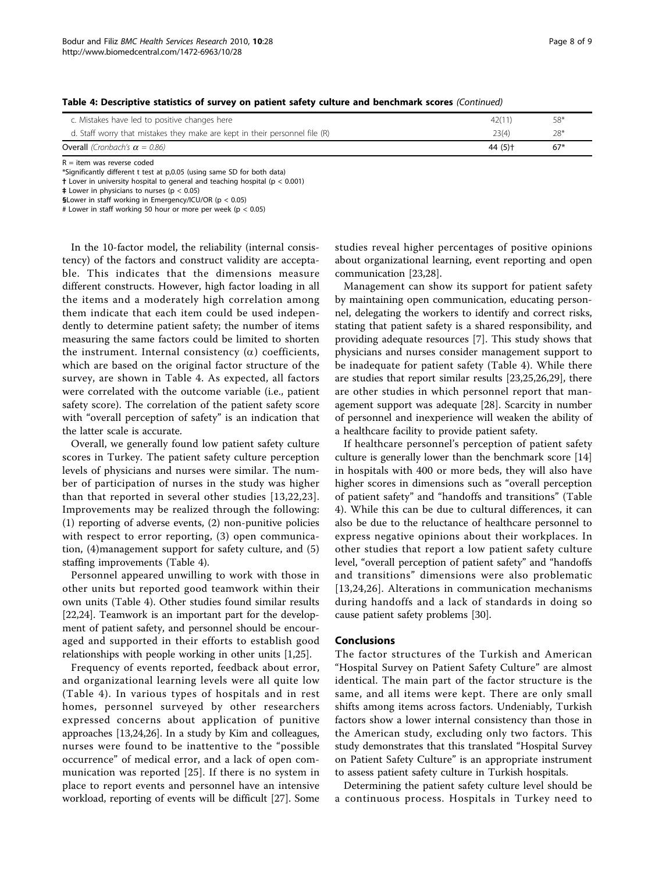| <b>Overall</b> (Cronbach's $\alpha = 0.86$ )                                | 44 (5) + | $67*$ |  |
|-----------------------------------------------------------------------------|----------|-------|--|
| d. Staff worry that mistakes they make are kept in their personnel file (R) | 23(4)    | $28*$ |  |
| c. Mistakes have led to positive changes here                               | 42(11)   | 58*   |  |
|                                                                             |          |       |  |

Table 4: Descriptive statistics of survey on patient safety culture and benchmark scores (Continued)

 $R =$  item was reverse coded

\*Significantly different t test at p,0.05 (using same SD for both data)

† Lover in university hospital to general and teaching hospital (p < 0.001)

 $\ddagger$  Lower in physicians to nurses (p < 0.05)

§Lower in staff working in Emergency/ICU/OR (p < 0.05)

# Lower in staff working 50 hour or more per week (p < 0.05)

In the 10-factor model, the reliability (internal consistency) of the factors and construct validity are acceptable. This indicates that the dimensions measure different constructs. However, high factor loading in all the items and a moderately high correlation among them indicate that each item could be used independently to determine patient safety; the number of items measuring the same factors could be limited to shorten the instrument. Internal consistency  $(\alpha)$  coefficients, which are based on the original factor structure of the survey, are shown in Table [4](#page-6-0). As expected, all factors were correlated with the outcome variable (i.e., patient safety score). The correlation of the patient safety score with "overall perception of safety" is an indication that the latter scale is accurate.

Overall, we generally found low patient safety culture scores in Turkey. The patient safety culture perception levels of physicians and nurses were similar. The number of participation of nurses in the study was higher than that reported in several other studies [[13,22](#page-8-0),[23\]](#page-8-0). Improvements may be realized through the following: (1) reporting of adverse events, (2) non-punitive policies with respect to error reporting, (3) open communication, (4)management support for safety culture, and (5) staffing improvements (Table [4](#page-6-0)).

Personnel appeared unwilling to work with those in other units but reported good teamwork within their own units (Table [4](#page-6-0)). Other studies found similar results [[22,24\]](#page-8-0). Teamwork is an important part for the development of patient safety, and personnel should be encouraged and supported in their efforts to establish good relationships with people working in other units [\[1,25](#page-8-0)].

Frequency of events reported, feedback about error, and organizational learning levels were all quite low (Table [4](#page-6-0)). In various types of hospitals and in rest homes, personnel surveyed by other researchers expressed concerns about application of punitive approaches [[13,24](#page-8-0),[26](#page-8-0)]. In a study by Kim and colleagues, nurses were found to be inattentive to the "possible occurrence" of medical error, and a lack of open communication was reported [[25](#page-8-0)]. If there is no system in place to report events and personnel have an intensive workload, reporting of events will be difficult [[27](#page-8-0)]. Some studies reveal higher percentages of positive opinions about organizational learning, event reporting and open communication [[23,28\]](#page-8-0).

Management can show its support for patient safety by maintaining open communication, educating personnel, delegating the workers to identify and correct risks, stating that patient safety is a shared responsibility, and providing adequate resources [\[7](#page-8-0)]. This study shows that physicians and nurses consider management support to be inadequate for patient safety (Table [4\)](#page-6-0). While there are studies that report similar results [[23,25,26,29](#page-8-0)], there are other studies in which personnel report that management support was adequate [\[28](#page-8-0)]. Scarcity in number of personnel and inexperience will weaken the ability of a healthcare facility to provide patient safety.

If healthcare personnel's perception of patient safety culture is generally lower than the benchmark score [[14](#page-8-0)] in hospitals with 400 or more beds, they will also have higher scores in dimensions such as "overall perception of patient safety" and "handoffs and transitions" (Table [4\)](#page-6-0). While this can be due to cultural differences, it can also be due to the reluctance of healthcare personnel to express negative opinions about their workplaces. In other studies that report a low patient safety culture level, "overall perception of patient safety" and "handoffs and transitions" dimensions were also problematic [[13](#page-8-0),[24,26\]](#page-8-0). Alterations in communication mechanisms during handoffs and a lack of standards in doing so cause patient safety problems [[30\]](#page-8-0).

#### Conclusions

The factor structures of the Turkish and American "Hospital Survey on Patient Safety Culture" are almost identical. The main part of the factor structure is the same, and all items were kept. There are only small shifts among items across factors. Undeniably, Turkish factors show a lower internal consistency than those in the American study, excluding only two factors. This study demonstrates that this translated "Hospital Survey on Patient Safety Culture" is an appropriate instrument to assess patient safety culture in Turkish hospitals.

Determining the patient safety culture level should be a continuous process. Hospitals in Turkey need to